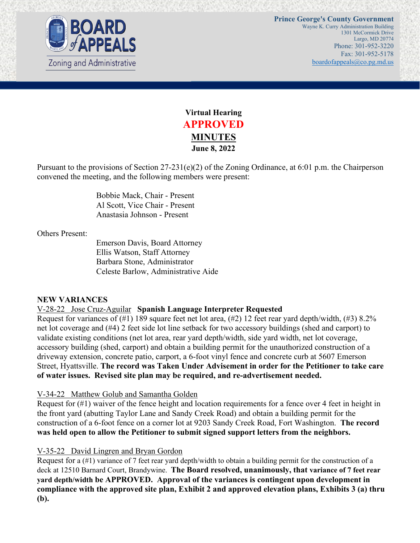



Pursuant to the provisions of Section 27-231(e)(2) of the Zoning Ordinance, at 6:01 p.m. the Chairperson convened the meeting, and the following members were present:

> Bobbie Mack, Chair - Present Al Scott, Vice Chair - Present Anastasia Johnson - Present

Others Present:

Emerson Davis, Board Attorney Ellis Watson, Staff Attorney Barbara Stone, Administrator Celeste Barlow, Administrative Aide

# **NEW VARIANCES**

#### V-28-22 Jose Cruz-Aguilar **Spanish Language Interpreter Requested**

Request for variances of  $(\#1)$  189 square feet net lot area,  $(\#2)$  12 feet rear yard depth/width,  $(\#3)$  8.2% net lot coverage and (#4) 2 feet side lot line setback for two accessory buildings (shed and carport) to validate existing conditions (net lot area, rear yard depth/width, side yard width, net lot coverage, accessory building (shed, carport) and obtain a building permit for the unauthorized construction of a driveway extension, concrete patio, carport, a 6-foot vinyl fence and concrete curb at 5607 Emerson Street, Hyattsville. **The record was Taken Under Advisement in order for the Petitioner to take care of water issues. Revised site plan may be required, and re-advertisement needed.** 

#### V-34-22 Matthew Golub and Samantha Golden

Request for (#1) waiver of the fence height and location requirements for a fence over 4 feet in height in the front yard (abutting Taylor Lane and Sandy Creek Road) and obtain a building permit for the construction of a 6-foot fence on a corner lot at 9203 Sandy Creek Road, Fort Washington. **The record was held open to allow the Petitioner to submit signed support letters from the neighbors.** 

#### V-35-22 David Lingren and Bryan Gordon

Request for a (#1) variance of 7 feet rear yard depth/width to obtain a building permit for the construction of a deck at 12510 Barnard Court, Brandywine. **The Board resolved, unanimously, that variance of 7 feet rear yard depth/width be APPROVED. Approval of the variances is contingent upon development in compliance with the approved site plan, Exhibit 2 and approved elevation plans, Exhibits 3 (a) thru (b).**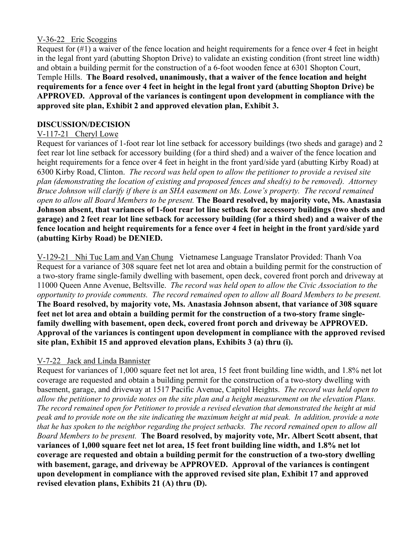## V-36-22 Eric Scoggins

Request for (#1) a waiver of the fence location and height requirements for a fence over 4 feet in height in the legal front yard (abutting Shopton Drive) to validate an existing condition (front street line width) and obtain a building permit for the construction of a 6-foot wooden fence at 6301 Shopton Court, Temple Hills. **The Board resolved, unanimously, that a waiver of the fence location and height requirements for a fence over 4 feet in height in the legal front yard (abutting Shopton Drive) be APPROVED. Approval of the variances is contingent upon development in compliance with the approved site plan, Exhibit 2 and approved elevation plan, Exhibit 3.** 

## **DISCUSSION/DECISION**

## V-117-21 Cheryl Lowe

Request for variances of 1-foot rear lot line setback for accessory buildings (two sheds and garage) and 2 feet rear lot line setback for accessory building (for a third shed) and a waiver of the fence location and height requirements for a fence over 4 feet in height in the front yard/side yard (abutting Kirby Road) at 6300 Kirby Road, Clinton. *The record was held open to allow the petitioner to provide a revised site plan (demonstrating the location of existing and proposed fences and shed(s) to be removed). Attorney Bruce Johnson will clarify if there is an SHA easement on Ms. Lowe's property. The record remained open to allow all Board Members to be present.* **The Board resolved, by majority vote, Ms. Anastasia Johnson absent, that variances of 1-foot rear lot line setback for accessory buildings (two sheds and garage) and 2 feet rear lot line setback for accessory building (for a third shed) and a waiver of the fence location and height requirements for a fence over 4 feet in height in the front yard/side yard (abutting Kirby Road) be DENIED.** 

V-129-21 Nhi Tuc Lam and Van Chung Vietnamese Language Translator Provided: Thanh Voa Request for a variance of 308 square feet net lot area and obtain a building permit for the construction of a two-story frame single-family dwelling with basement, open deck, covered front porch and driveway at 11000 Queen Anne Avenue, Beltsville. *The record was held open to allow the Civic Association to the opportunity to provide comments. The record remained open to allow all Board Members to be present.*  **The Board resolved, by majority vote, Ms. Anastasia Johnson absent, that variance of 308 square feet net lot area and obtain a building permit for the construction of a two-story frame singlefamily dwelling with basement, open deck, covered front porch and driveway be APPROVED. Approval of the variances is contingent upon development in compliance with the approved revised site plan, Exhibit 15 and approved elevation plans, Exhibits 3 (a) thru (i).** 

# V-7-22 Jack and Linda Bannister

Request for variances of 1,000 square feet net lot area, 15 feet front building line width, and 1.8% net lot coverage are requested and obtain a building permit for the construction of a two-story dwelling with basement, garage, and driveway at 1517 Pacific Avenue, Capitol Heights. *The record was held open to allow the petitioner to provide notes on the site plan and a height measurement on the elevation Plans. The record remained open for Petitioner to provide a revised elevation that demonstrated the height at mid peak and to provide note on the site indicating the maximum height at mid peak. In addition, provide a note that he has spoken to the neighbor regarding the project setbacks. The record remained open to allow all Board Members to be present.* **The Board resolved, by majority vote, Mr. Albert Scott absent, that variances of 1,000 square feet net lot area, 15 feet front building line width, and 1.8% net lot coverage are requested and obtain a building permit for the construction of a two-story dwelling with basement, garage, and driveway be APPROVED. Approval of the variances is contingent upon development in compliance with the approved revised site plan, Exhibit 17 and approved revised elevation plans, Exhibits 21 (A) thru (D).**